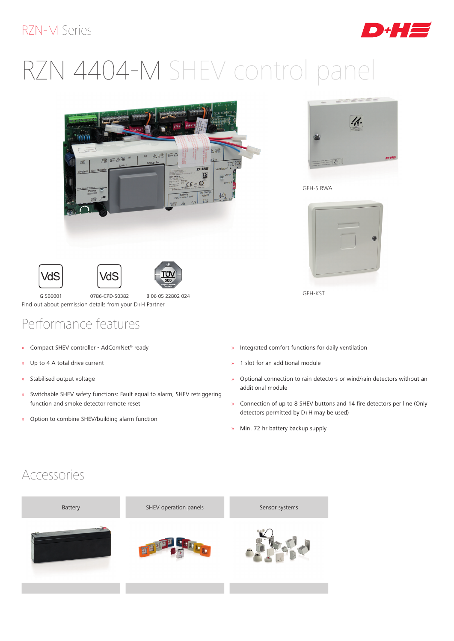#### RZN-M Series



# RZN 4404-M SHEV control panel









G 506001 0786-CPD-50382 B 06 05 22802 024 Find out about permission details from your D+H Partner

### Performance features

- » Compact SHEV controller AdComNet® ready
- » Up to 4 A total drive current
- » Stabilised output voltage
- » Switchable SHEV safety functions: Fault equal to alarm, SHEV retriggering function and smoke detector remote reset
- » Option to combine SHEV/building alarm function



GEH-S RWA



GEH-KST

- » Integrated comfort functions for daily ventilation
- » 1 slot for an additional module
- » Optional connection to rain detectors or wind/rain detectors without an additional module
- » Connection of up to 8 SHEV buttons and 14 fire detectors per line (Only detectors permitted by D+H may be used)
- » Min. 72 hr battery backup supply

#### Accessories